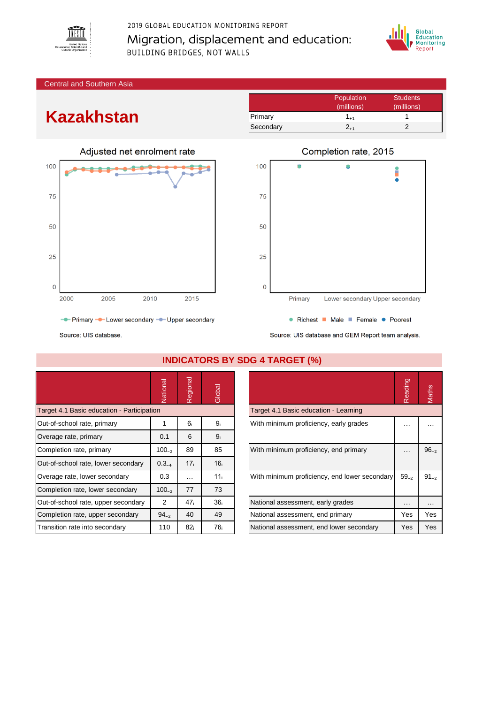

2019 GLOBAL EDUCATION MONITORING REPORT Migration, displacement and education: **BUILDING BRIDGES, NOT WALLS** 



Central and Southern Asia

## **Kazakhstan**



|           | Population | Students   |
|-----------|------------|------------|
|           | (millions) | (millions) |
| Primary   | 1+1        |            |
| Secondary |            |            |



Source: UIS database and GEM Report team analysis.

Source: UIS database.

|                                            | Vational   | Regional        | Global          |                                               | Reading   | Maths     |
|--------------------------------------------|------------|-----------------|-----------------|-----------------------------------------------|-----------|-----------|
| Target 4.1 Basic education - Participation |            |                 |                 | Target 4.1 Basic education - Learning         |           |           |
| Out-of-school rate, primary                |            | 6 <sub>i</sub>  | 9 <sub>i</sub>  | With minimum proficiency, early grades        | $\cdots$  | .         |
| Overage rate, primary                      | 0.1        | 6               | 9 <sub>i</sub>  |                                               |           |           |
| Completion rate, primary                   | $100_{-2}$ | 89              | 85              | With minimum proficiency, end primary         | $\cdots$  | $96_{-2}$ |
| Out-of-school rate, lower secondary        | $0.3_{-4}$ | 17 <sub>i</sub> | 16 <sub>i</sub> |                                               |           |           |
| Overage rate, lower secondary              | 0.3        | $\cdots$        | 11 <sub>i</sub> | With minimum proficiency, end lower secondary | $59_{-2}$ | $91_{-2}$ |
| Completion rate, lower secondary           | $100_{-2}$ | 77              | 73              |                                               |           |           |
| Out-of-school rate, upper secondary        | 2          | 47 <sub>i</sub> | 36 <sub>i</sub> | National assessment, early grades             | $\cdots$  | $\cdots$  |
| Completion rate, upper secondary           | $94_{-2}$  | 40              | 49              | National assessment, end primary              | Yes       | Yes       |
| Transition rate into secondary             | 110        | 82 <sub>i</sub> | 76 i            | National assessment, end lower secondary      | Yes       | Yes       |

## **INDICATORS BY SDG 4 TARGET (%)**

|                                               | Reading   |           |
|-----------------------------------------------|-----------|-----------|
| Target 4.1 Basic education - Learning         |           |           |
| With minimum proficiency, early grades        |           |           |
| With minimum proficiency, end primary         |           | $96_{-2}$ |
| With minimum proficiency, end lower secondary | $59_{-2}$ | $91_{-2}$ |
| National assessment, early grades             |           |           |
| National assessment, end primary              | Yes       | Yes       |
| National assessment, end lower secondary      | Yes       | Yes       |
|                                               |           |           |